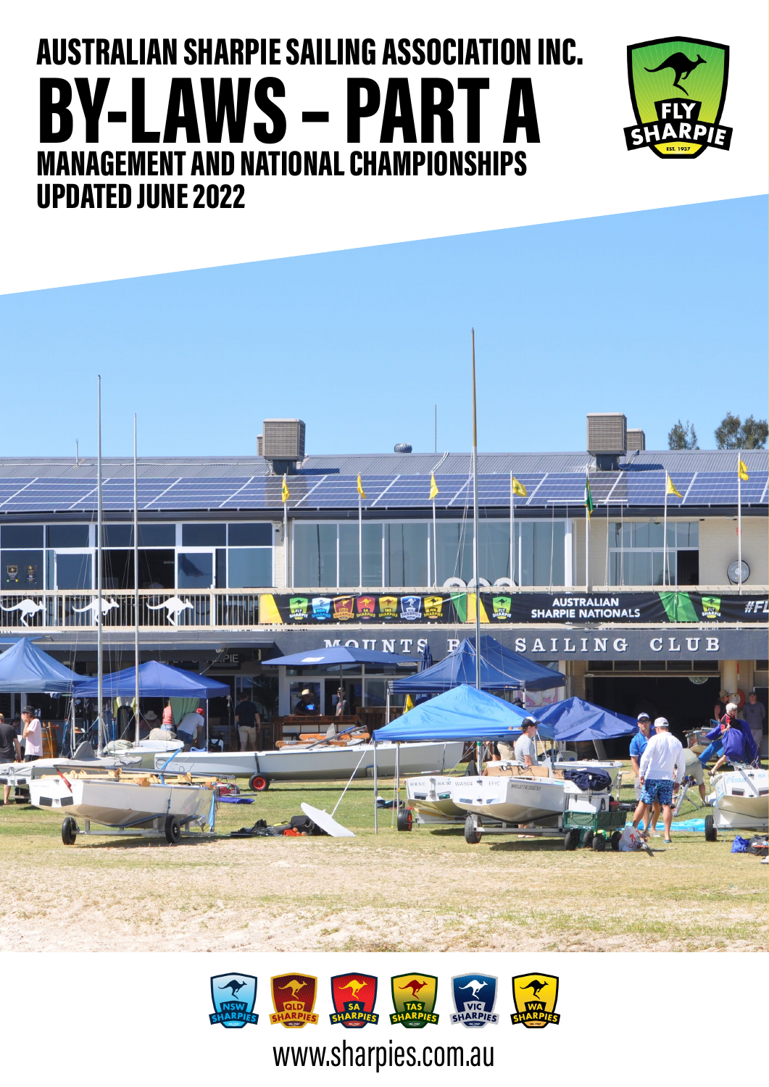# BY-LAWS – PART A AUSTRALIAN SHARPIE SAILING ASSOCIATION INC. MANAGEMENT AND NATIONAL CHAMPIONSHIPS UPDATED JUNE 2022







# www.sharpies.com.au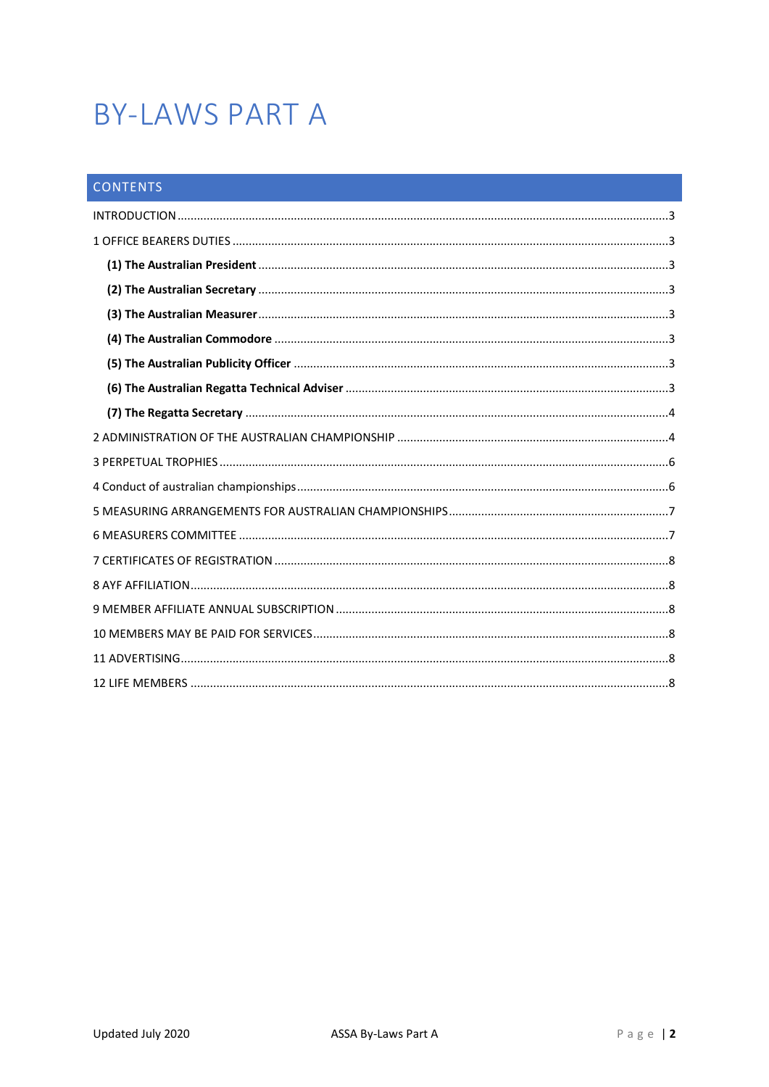# **BY-LAWS PART A**

| <b>CONTENTS</b> |
|-----------------|
|                 |
|                 |
|                 |
|                 |
|                 |
|                 |
|                 |
|                 |
|                 |
|                 |
|                 |
|                 |
|                 |
|                 |
|                 |
|                 |
|                 |
|                 |
|                 |
|                 |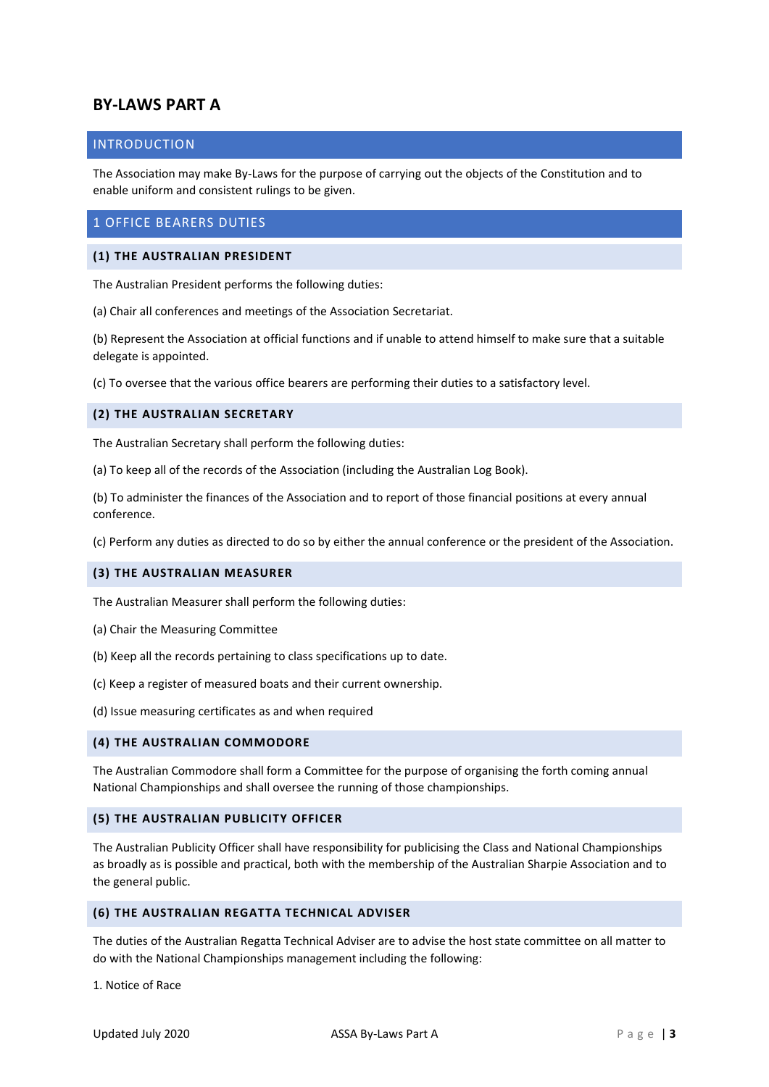# **BY-LAWS PART A**

#### <span id="page-2-0"></span>INTRODUCTION

The Association may make By-Laws for the purpose of carrying out the objects of the Constitution and to enable uniform and consistent rulings to be given.

# <span id="page-2-1"></span>1 OFFICE BEARERS DUTIES

#### <span id="page-2-2"></span>**(1) THE AUSTRALIAN PRESIDENT**

The Australian President performs the following duties:

(a) Chair all conferences and meetings of the Association Secretariat.

(b) Represent the Association at official functions and if unable to attend himself to make sure that a suitable delegate is appointed.

(c) To oversee that the various office bearers are performing their duties to a satisfactory level.

#### <span id="page-2-3"></span>**(2) THE AUSTRALIAN SECRETARY**

The Australian Secretary shall perform the following duties:

(a) To keep all of the records of the Association (including the Australian Log Book).

(b) To administer the finances of the Association and to report of those financial positions at every annual conference.

(c) Perform any duties as directed to do so by either the annual conference or the president of the Association.

#### <span id="page-2-4"></span>**(3) THE AUSTRALIAN MEASURER**

The Australian Measurer shall perform the following duties:

- (a) Chair the Measuring Committee
- (b) Keep all the records pertaining to class specifications up to date.
- (c) Keep a register of measured boats and their current ownership.
- (d) Issue measuring certificates as and when required

#### <span id="page-2-5"></span>**(4) THE AUSTRALIAN COMMODORE**

The Australian Commodore shall form a Committee for the purpose of organising the forth coming annual National Championships and shall oversee the running of those championships.

#### <span id="page-2-6"></span>**(5) THE AUSTRALIAN PUBLICITY OFFICER**

The Australian Publicity Officer shall have responsibility for publicising the Class and National Championships as broadly as is possible and practical, both with the membership of the Australian Sharpie Association and to the general public.

#### <span id="page-2-7"></span>**(6) THE AUSTRALIAN REGATTA TECHNICAL ADVISER**

The duties of the Australian Regatta Technical Adviser are to advise the host state committee on all matter to do with the National Championships management including the following:

1. Notice of Race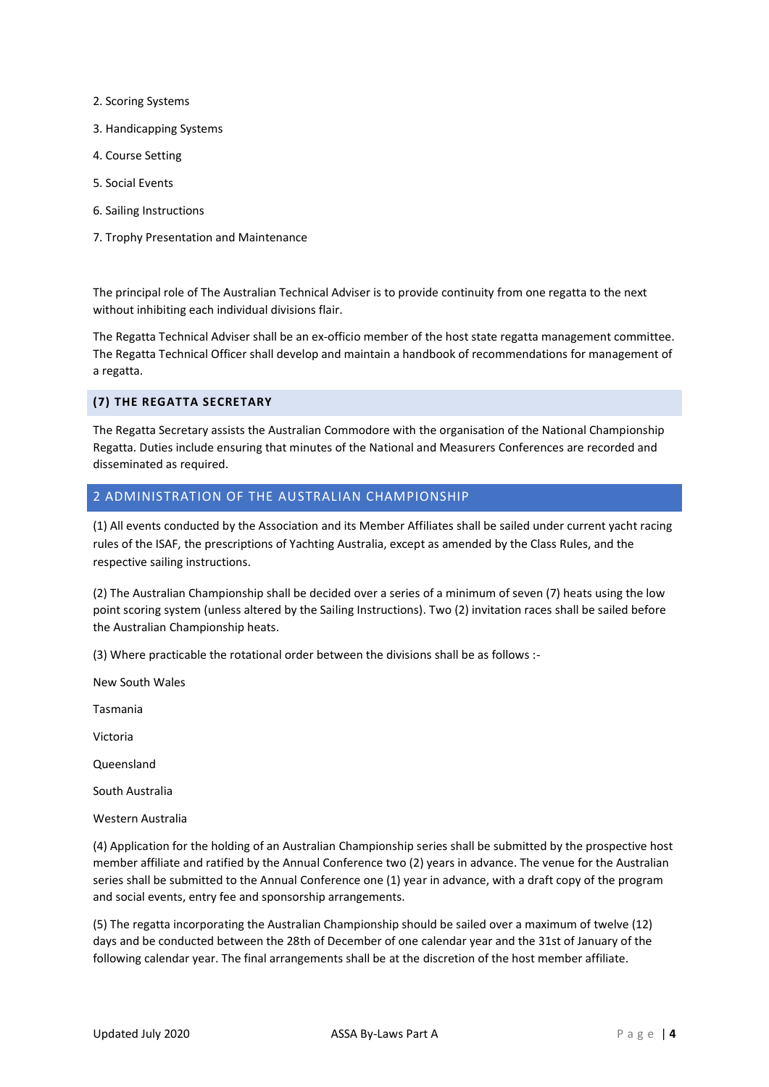- 2. Scoring Systems
- 3. Handicapping Systems
- 4. Course Setting
- 5. Social Events
- 6. Sailing Instructions
- 7. Trophy Presentation and Maintenance

The principal role of The Australian Technical Adviser is to provide continuity from one regatta to the next without inhibiting each individual divisions flair.

The Regatta Technical Adviser shall be an ex-officio member of the host state regatta management committee. The Regatta Technical Officer shall develop and maintain a handbook of recommendations for management of a regatta.

#### <span id="page-3-0"></span>**(7) THE REGATTA SECRETARY**

The Regatta Secretary assists the Australian Commodore with the organisation of the National Championship Regatta. Duties include ensuring that minutes of the National and Measurers Conferences are recorded and disseminated as required.

#### <span id="page-3-1"></span>2 ADMINISTRATION OF THE AUSTRALIAN CHAMPIONSHIP

(1) All events conducted by the Association and its Member Affiliates shall be sailed under current yacht racing rules of the ISAF, the prescriptions of Yachting Australia, except as amended by the Class Rules, and the respective sailing instructions.

(2) The Australian Championship shall be decided over a series of a minimum of seven (7) heats using the low point scoring system (unless altered by the Sailing Instructions). Two (2) invitation races shall be sailed before the Australian Championship heats.

(3) Where practicable the rotational order between the divisions shall be as follows :-

New South Wales

Tasmania

Victoria

Queensland

South Australia

Western Australia

(4) Application for the holding of an Australian Championship series shall be submitted by the prospective host member affiliate and ratified by the Annual Conference two (2) years in advance. The venue for the Australian series shall be submitted to the Annual Conference one (1) year in advance, with a draft copy of the program and social events, entry fee and sponsorship arrangements.

(5) The regatta incorporating the Australian Championship should be sailed over a maximum of twelve (12) days and be conducted between the 28th of December of one calendar year and the 31st of January of the following calendar year. The final arrangements shall be at the discretion of the host member affiliate.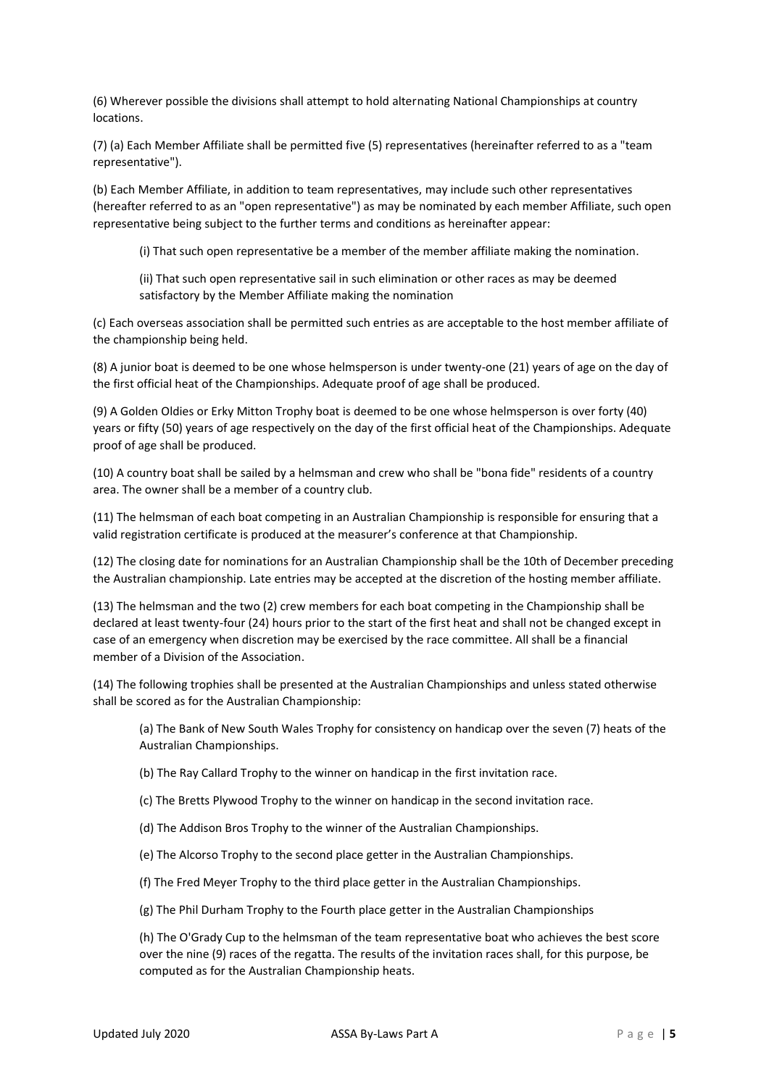(6) Wherever possible the divisions shall attempt to hold alternating National Championships at country locations.

(7) (a) Each Member Affiliate shall be permitted five (5) representatives (hereinafter referred to as a "team representative").

(b) Each Member Affiliate, in addition to team representatives, may include such other representatives (hereafter referred to as an "open representative") as may be nominated by each member Affiliate, such open representative being subject to the further terms and conditions as hereinafter appear:

(i) That such open representative be a member of the member affiliate making the nomination.

(ii) That such open representative sail in such elimination or other races as may be deemed satisfactory by the Member Affiliate making the nomination

(c) Each overseas association shall be permitted such entries as are acceptable to the host member affiliate of the championship being held.

(8) A junior boat is deemed to be one whose helmsperson is under twenty-one (21) years of age on the day of the first official heat of the Championships. Adequate proof of age shall be produced.

(9) A Golden Oldies or Erky Mitton Trophy boat is deemed to be one whose helmsperson is over forty (40) years or fifty (50) years of age respectively on the day of the first official heat of the Championships. Adequate proof of age shall be produced.

(10) A country boat shall be sailed by a helmsman and crew who shall be "bona fide" residents of a country area. The owner shall be a member of a country club.

(11) The helmsman of each boat competing in an Australian Championship is responsible for ensuring that a valid registration certificate is produced at the measurer's conference at that Championship.

(12) The closing date for nominations for an Australian Championship shall be the 10th of December preceding the Australian championship. Late entries may be accepted at the discretion of the hosting member affiliate.

(13) The helmsman and the two (2) crew members for each boat competing in the Championship shall be declared at least twenty-four (24) hours prior to the start of the first heat and shall not be changed except in case of an emergency when discretion may be exercised by the race committee. All shall be a financial member of a Division of the Association.

(14) The following trophies shall be presented at the Australian Championships and unless stated otherwise shall be scored as for the Australian Championship:

(a) The Bank of New South Wales Trophy for consistency on handicap over the seven (7) heats of the Australian Championships.

(b) The Ray Callard Trophy to the winner on handicap in the first invitation race.

(c) The Bretts Plywood Trophy to the winner on handicap in the second invitation race.

(d) The Addison Bros Trophy to the winner of the Australian Championships.

(e) The Alcorso Trophy to the second place getter in the Australian Championships.

(f) The Fred Meyer Trophy to the third place getter in the Australian Championships.

(g) The Phil Durham Trophy to the Fourth place getter in the Australian Championships

(h) The O'Grady Cup to the helmsman of the team representative boat who achieves the best score over the nine (9) races of the regatta. The results of the invitation races shall, for this purpose, be computed as for the Australian Championship heats.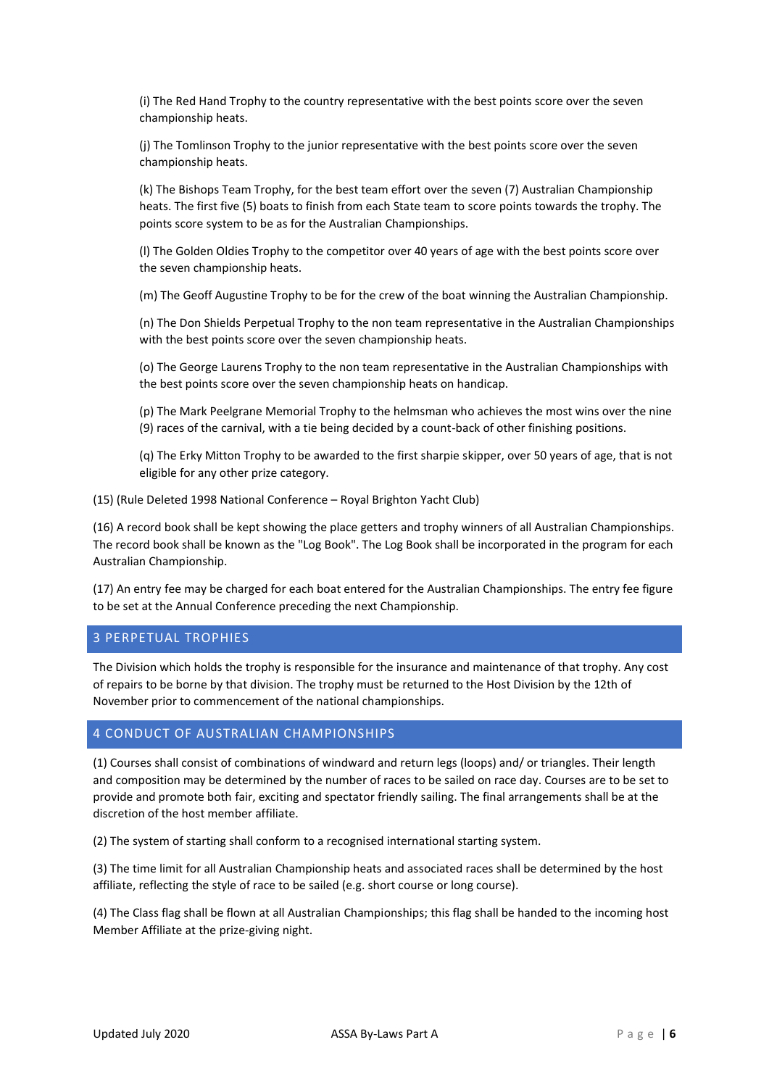(i) The Red Hand Trophy to the country representative with the best points score over the seven championship heats.

(j) The Tomlinson Trophy to the junior representative with the best points score over the seven championship heats.

(k) The Bishops Team Trophy, for the best team effort over the seven (7) Australian Championship heats. The first five (5) boats to finish from each State team to score points towards the trophy. The points score system to be as for the Australian Championships.

(l) The Golden Oldies Trophy to the competitor over 40 years of age with the best points score over the seven championship heats.

(m) The Geoff Augustine Trophy to be for the crew of the boat winning the Australian Championship.

(n) The Don Shields Perpetual Trophy to the non team representative in the Australian Championships with the best points score over the seven championship heats.

(o) The George Laurens Trophy to the non team representative in the Australian Championships with the best points score over the seven championship heats on handicap.

(p) The Mark Peelgrane Memorial Trophy to the helmsman who achieves the most wins over the nine (9) races of the carnival, with a tie being decided by a count-back of other finishing positions.

(q) The Erky Mitton Trophy to be awarded to the first sharpie skipper, over 50 years of age, that is not eligible for any other prize category.

(15) (Rule Deleted 1998 National Conference – Royal Brighton Yacht Club)

(16) A record book shall be kept showing the place getters and trophy winners of all Australian Championships. The record book shall be known as the "Log Book". The Log Book shall be incorporated in the program for each Australian Championship.

(17) An entry fee may be charged for each boat entered for the Australian Championships. The entry fee figure to be set at the Annual Conference preceding the next Championship.

#### <span id="page-5-0"></span>3 PERPETUAL TROPHIES

The Division which holds the trophy is responsible for the insurance and maintenance of that trophy. Any cost of repairs to be borne by that division. The trophy must be returned to the Host Division by the 12th of November prior to commencement of the national championships.

#### <span id="page-5-1"></span>4 CONDUCT OF AUSTRALIAN CHAMPIONSHIPS

(1) Courses shall consist of combinations of windward and return legs (loops) and/ or triangles. Their length and composition may be determined by the number of races to be sailed on race day. Courses are to be set to provide and promote both fair, exciting and spectator friendly sailing. The final arrangements shall be at the discretion of the host member affiliate.

(2) The system of starting shall conform to a recognised international starting system.

(3) The time limit for all Australian Championship heats and associated races shall be determined by the host affiliate, reflecting the style of race to be sailed (e.g. short course or long course).

<span id="page-5-2"></span>(4) The Class flag shall be flown at all Australian Championships; this flag shall be handed to the incoming host Member Affiliate at the prize-giving night.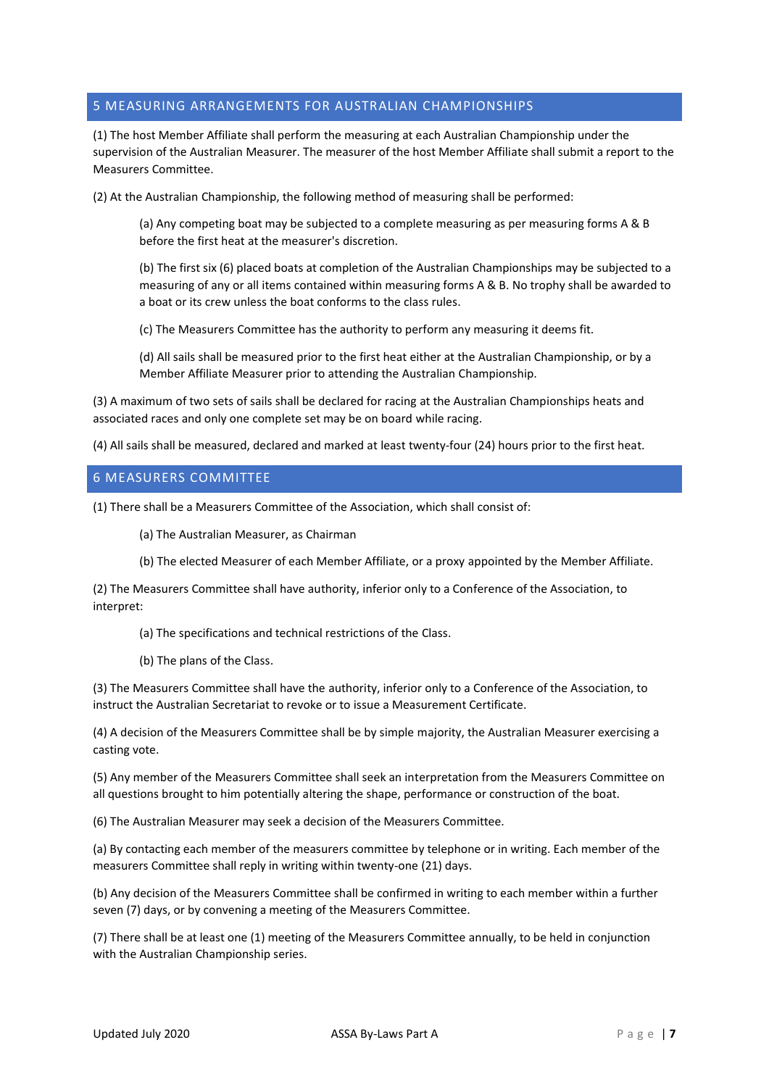### 5 MEASURING ARRANGEMENTS FOR AUSTRALIAN CHAMPIONSHIPS

(1) The host Member Affiliate shall perform the measuring at each Australian Championship under the supervision of the Australian Measurer. The measurer of the host Member Affiliate shall submit a report to the Measurers Committee.

(2) At the Australian Championship, the following method of measuring shall be performed:

(a) Any competing boat may be subjected to a complete measuring as per measuring forms A & B before the first heat at the measurer's discretion.

(b) The first six (6) placed boats at completion of the Australian Championships may be subjected to a measuring of any or all items contained within measuring forms A & B. No trophy shall be awarded to a boat or its crew unless the boat conforms to the class rules.

(c) The Measurers Committee has the authority to perform any measuring it deems fit.

(d) All sails shall be measured prior to the first heat either at the Australian Championship, or by a Member Affiliate Measurer prior to attending the Australian Championship.

(3) A maximum of two sets of sails shall be declared for racing at the Australian Championships heats and associated races and only one complete set may be on board while racing.

(4) All sails shall be measured, declared and marked at least twenty-four (24) hours prior to the first heat.

#### <span id="page-6-0"></span>6 MEASURERS COMMITTEE

(1) There shall be a Measurers Committee of the Association, which shall consist of:

(a) The Australian Measurer, as Chairman

(b) The elected Measurer of each Member Affiliate, or a proxy appointed by the Member Affiliate.

(2) The Measurers Committee shall have authority, inferior only to a Conference of the Association, to interpret:

- (a) The specifications and technical restrictions of the Class.
- (b) The plans of the Class.

(3) The Measurers Committee shall have the authority, inferior only to a Conference of the Association, to instruct the Australian Secretariat to revoke or to issue a Measurement Certificate.

(4) A decision of the Measurers Committee shall be by simple majority, the Australian Measurer exercising a casting vote.

(5) Any member of the Measurers Committee shall seek an interpretation from the Measurers Committee on all questions brought to him potentially altering the shape, performance or construction of the boat.

(6) The Australian Measurer may seek a decision of the Measurers Committee.

(a) By contacting each member of the measurers committee by telephone or in writing. Each member of the measurers Committee shall reply in writing within twenty-one (21) days.

(b) Any decision of the Measurers Committee shall be confirmed in writing to each member within a further seven (7) days, or by convening a meeting of the Measurers Committee.

(7) There shall be at least one (1) meeting of the Measurers Committee annually, to be held in conjunction with the Australian Championship series.